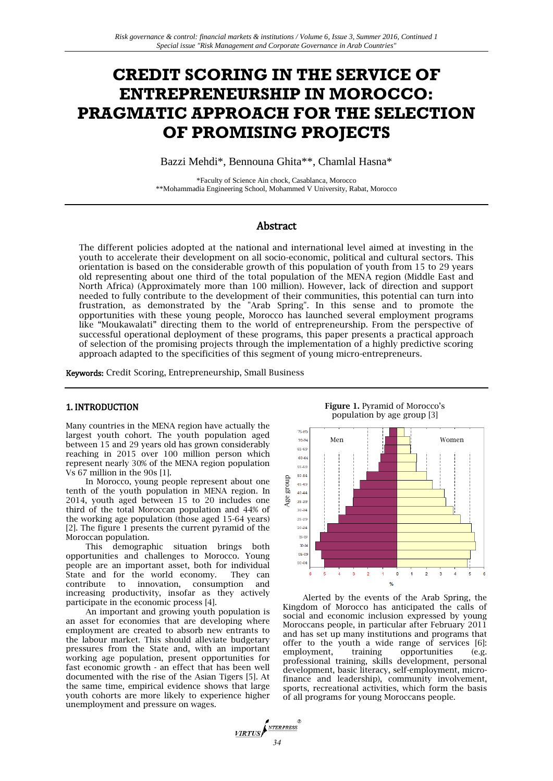# **CREDIT SCORING IN THE SERVICE OF ENTREPRENEURSHIP IN MOROCCO: PRAGMATIC APPROACH FOR THE SELECTION OF PROMISING PROJECTS**

Bazzi Mehdi\*, Bennouna Ghita\*\*, Chamlal Hasna\*

\*Faculty of Science Ain chock, Casablanca, Morocco \*\*Mohammadia Engineering School, Mohammed V University, Rabat, Morocco

# Abstract

The different policies adopted at the national and international level aimed at investing in the youth to accelerate their development on all socio-economic, political and cultural sectors. This orientation is based on the considerable growth of this population of youth from 15 to 29 years old representing about one third of the total population of the MENA region (Middle East and North Africa) (Approximately more than 100 million). However, lack of direction and support needed to fully contribute to the development of their communities, this potential can turn into frustration, as demonstrated by the "Arab Spring". In this sense and to promote the opportunities with these young people, Morocco has launched several employment programs like "Moukawalati" directing them to the world of entrepreneurship. From the perspective of successful operational deployment of these programs, this paper presents a practical approach of selection of the promising projects through the implementation of a highly predictive scoring approach adapted to the specificities of this segment of young micro-entrepreneurs.

**VIRTUS** 

Keywords: Credit Scoring, Entrepreneurship, Small Business

### 1. INTRODUCTION

Many countries in the MENA region have actually the largest youth cohort. The youth population aged between 15 and 29 years old has grown considerably reaching in 2015 over 100 million person which represent nearly 30% of the MENA region population Vs 67 million in the 90s [1].

In Morocco, young people represent about one tenth of the youth population in MENA region. In 2014, youth aged between 15 to 20 includes one third of the total Moroccan population and 44% of the working age population (those aged 15-64 years) [2]. The figure 1 presents the current pyramid of the Moroccan population.

This demographic situation brings both opportunities and challenges to Morocco. Young people are an important asset, both for individual State and for the world economy. They can contribute to innovation, consumption and increasing productivity, insofar as they actively participate in the economic process [4].

An important and growing youth population is an asset for economies that are developing where employment are created to absorb new entrants to the labour market. This should alleviate budgetary pressures from the State and, with an important working age population, present opportunities for fast economic growth - an effect that has been well documented with the rise of the Asian Tigers [5]. At the same time, empirical evidence shows that large youth cohorts are more likely to experience higher unemployment and pressure on wages.



**Figure 1.** Pyramid of Morocco's

Alerted by the events of the Arab Spring, the Kingdom of Morocco has anticipated the calls of social and economic inclusion expressed by young Moroccans people, in particular after February 2011 and has set up many institutions and programs that offer to the youth a wide range of services [6]: employment, training opportunities (e.g. professional training, skills development, personal development, basic literacy, self-employment, microfinance and leadership), community involvement, sports, recreational activities, which form the basis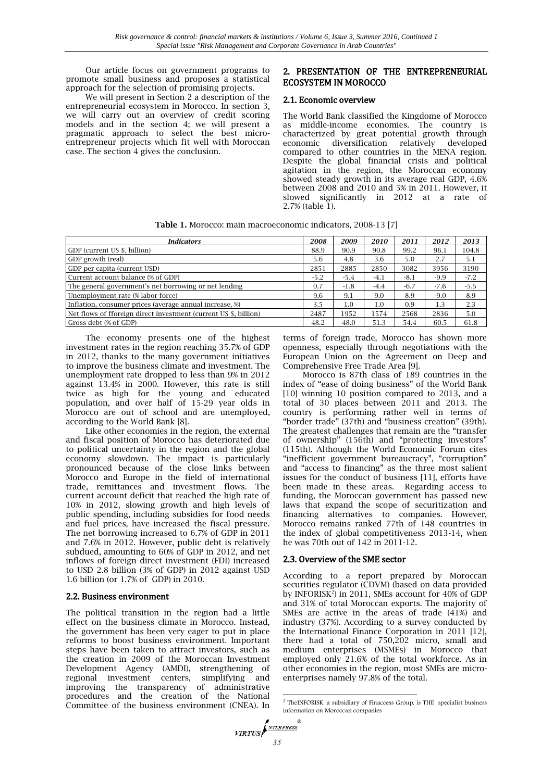Our article focus on government programs to promote small business and proposes a statistical approach for the selection of promising projects.

We will present in Section 2 a description of the entrepreneurial ecosystem in Morocco. In section 3, we will carry out an overview of credit scoring models and in the section 4; we will present a pragmatic approach to select the best microentrepreneur projects which fit well with Moroccan case. The section 4 gives the conclusion.

# 2. PRESENTATION OF THE ENTREPRENEURIAL ECOSYSTEM IN MOROCCO

#### 2.1. Economic overview

The World Bank classified the Kingdome of Morocco as middle-income economies. The country is characterized by great potential growth through economic diversification relatively developed compared to other countries in the MENA region. Despite the global financial crisis and political agitation in the region, the Moroccan economy showed steady growth in its average real GDP, 4.6% between 2008 and 2010 and 5% in 2011. However, it slowed significantly in 2012 at a rate of 2.7% (table 1).

|  | Table 1. Morocco: main macroeconomic indicators, 2008-13 [7] |  |
|--|--------------------------------------------------------------|--|
|--|--------------------------------------------------------------|--|

| <b>Indicators</b>                                                | 2008   | 2009    | 2010   | 2011   | 2012   | 2013   |
|------------------------------------------------------------------|--------|---------|--------|--------|--------|--------|
| GDP (current US \$, billion)                                     | 88.9   | 90.9    | 90.8   | 99.2   | 96.1   | 104.8  |
| GDP growth (real)                                                | 5.6    | 4.8     | 3.6    | 5.0    | 2.7    | 5.1    |
| GDP per capita (current USD)                                     | 2851   | 2885    | 2850   | 3082   | 3956   | 3190   |
| Current account balance (% of GDP)                               | $-5.2$ | $-5.4$  | $-4.1$ | $-8.1$ | $-9.9$ | $-7.2$ |
| The general government's net borrowing or net lending            | 0.7    | $-1.8$  | $-4.4$ | $-6.7$ | $-7.6$ | $-5.5$ |
| Unemployment rate (% labor force)                                | 9.6    | 9.1     | 9.0    | 8.9    | $-9.0$ | 8.9    |
| Inflation, consumer prices (average annual increase, %)          | 3.5    | $1.0\,$ | 1.0    | 0.9    | 1.3    | 2.3    |
| Net flows of fforeign direct investment (current US \$, billion) | 2487   | 1952    | 1574   | 2568   | 2836   | 5.0    |
| Gross debt (% of GDP)                                            | 48.2   | 48.0    | 51.3   | 54.4   | 60.5   | 61.8   |

The economy presents one of the highest investment rates in the region reaching 35.7% of GDP in 2012, thanks to the many government initiatives to improve the business climate and investment. The unemployment rate dropped to less than 9% in 2012 against 13.4% in 2000. However, this rate is still twice as high for the young and educated population, and over half of 15-29 year olds in Morocco are out of school and are unemployed, according to the World Bank [8].

Like other economies in the region, the external and fiscal position of Morocco has deteriorated due to political uncertainty in the region and the global economy slowdown. The impact is particularly pronounced because of the close links between Morocco and Europe in the field of international trade, remittances and investment flows. The current account deficit that reached the high rate of 10% in 2012, slowing growth and high levels of public spending, including subsidies for food needs and fuel prices, have increased the fiscal pressure. The net borrowing increased to 6.7% of GDP in 2011 and 7.6% in 2012. However, public debt is relatively subdued, amounting to 60% of GDP in 2012, and net inflows of foreign direct investment (FDI) increased to USD 2.8 billion (3% of GDP) in 2012 against USD 1.6 billion (or 1.7% of GDP) in 2010.

### 2.2. Business environment

The political transition in the region had a little effect on the business climate in Morocco. Instead, the government has been very eager to put in place reforms to boost business environment. Important steps have been taken to attract investors, such as the creation in 2009 of the Moroccan Investment Development Agency (AMDI), strengthening of regional investment centers, simplifying and improving the transparency of administrative procedures and the creation of the National Committee of the business environment (CNEA). In terms of foreign trade, Morocco has shown more openness, especially through negotiations with the European Union on the Agreement on Deep and Comprehensive Free Trade Area [9].

Morocco is 87th class of 189 countries in the index of "ease of doing business" of the World Bank [10] winning 10 position compared to 2013, and a total of 30 places between 2011 and 2013. The country is performing rather well in terms of "border trade" (37th) and "business creation" (39th). The greatest challenges that remain are the "transfer of ownership" (156th) and "protecting investors" (115th). Although the World Economic Forum cites "inefficient government bureaucracy", "corruption" and "access to financing" as the three most salient issues for the conduct of business [11], efforts have been made in these areas. Regarding access to funding, the Moroccan government has passed new laws that expand the scope of securitization and financing alternatives to companies. However, Morocco remains ranked 77th of 148 countries in the index of global competitiveness 2013-14, when he was 70th out of 142 in 2011-12.

### 2.3. Overview of the SME sector

According to a report prepared by Moroccan securities regulator (CDVM) (based on data provided by INFORISK<sup>2</sup>) in 2011, SMEs account for 40% of GDP and 31% of total Moroccan exports. The majority of SMEs are active in the areas of trade (41%) and industry (37%). According to a survey conducted by the International Finance Corporation in 2011 [12], there had a total of 750,202 micro, small and medium enterprises (MSMEs) in Morocco that employed only 21.6% of the total workforce. As in other economies in the region, most SMEs are microenterprises namely 97.8% of the total.

 2 TheINFORISK, a subsidiary of Finaccess Group, is THE specialist business information on Moroccan companies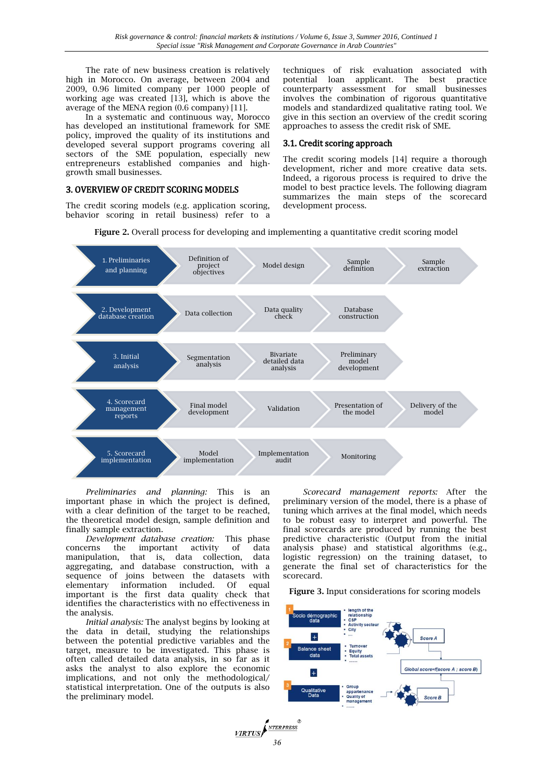The rate of new business creation is relatively high in Morocco. On average, between 2004 and 2009, 0.96 limited company per 1000 people of working age was created [13], which is above the average of the MENA region (0.6 company) [11].

In a systematic and continuous way, Morocco has developed an institutional framework for SME policy, improved the quality of its institutions and developed several support programs covering all sectors of the SME population, especially new entrepreneurs established companies and highgrowth small businesses.

#### 3. OVERVIEW OF CREDIT SCORING MODELS

The credit scoring models (e.g. application scoring, behavior scoring in retail business) refer to a

techniques of risk evaluation associated with potential loan applicant. The best practice counterparty assessment for small businesses involves the combination of rigorous quantitative models and standardized qualitative rating tool. We give in this section an overview of the credit scoring approaches to assess the credit risk of SME.

### 3.1. Credit scoring approach

The credit scoring models [14] require a thorough development, richer and more creative data sets. Indeed, a rigorous process is required to drive the model to best practice levels. The following diagram summarizes the main steps of the scorecard development process.



**Figure 2.** Overall process for developing and implementing a quantitative credit scoring model

*Preliminaries and planning:* This is an important phase in which the project is defined, with a clear definition of the target to be reached, the theoretical model design, sample definition and finally sample extraction.

*Development database creation:* This phase concerns the important activity of data manipulation, that is, data collection, data aggregating, and database construction, with a sequence of joins between the datasets with elementary information included. Of equal important is the first data quality check that identifies the characteristics with no effectiveness in the analysis.

*Initial analysis:* The analyst begins by looking at the data in detail, studying the relationships between the potential predictive variables and the target, measure to be investigated. This phase is often called detailed data analysis, in so far as it asks the analyst to also explore the economic implications, and not only the methodological/ statistical interpretation. One of the outputs is also the preliminary model.

*Scorecard management reports:* After the preliminary version of the model, there is a phase of tuning which arrives at the final model, which needs to be robust easy to interpret and powerful. The final scorecards are produced by running the best predictive characteristic (Output from the initial analysis phase) and statistical algorithms (e.g., logistic regression) on the training dataset, to generate the final set of characteristics for the scorecard.

**Figure 3.** Input considerations for scoring models

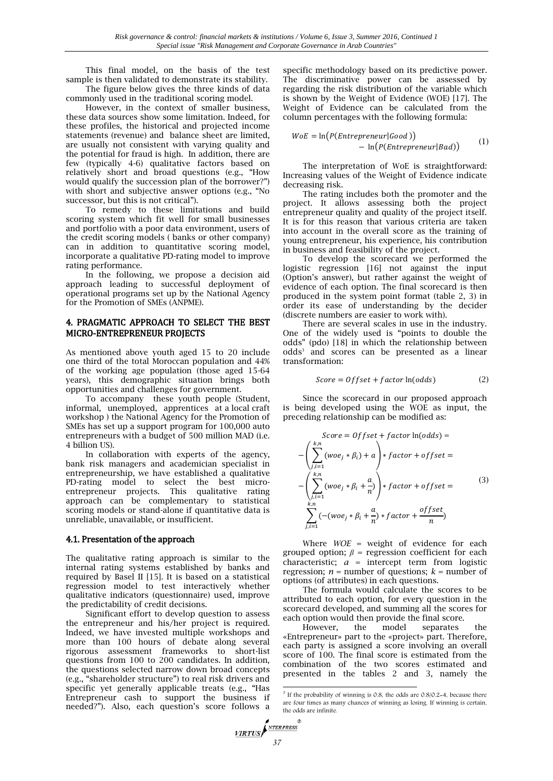This final model, on the basis of the test sample is then validated to demonstrate its stability.

The figure below gives the three kinds of data commonly used in the traditional scoring model.

However, in the context of smaller business, these data sources show some limitation. Indeed, for these profiles, the historical and projected income statements (revenue) and balance sheet are limited, are usually not consistent with varying quality and the potential for fraud is high. In addition, there are few (typically 4-6) qualitative factors based on relatively short and broad questions (e.g., "How would qualify the succession plan of the borrower?") with short and subjective answer options (e.g., "No successor, but this is not critical").

To remedy to these limitations and build scoring system which fit well for small businesses and portfolio with a poor data environment, users of the credit scoring models ( banks or other company) can in addition to quantitative scoring model, incorporate a qualitative PD-rating model to improve rating performance.

In the following, we propose a decision aid approach leading to successful deployment of operational programs set up by the National Agency for the Promotion of SMEs (ANPME).

# 4. PRAGMATIC APPROACH TO SELECT THE BEST MICRO-ENTREPRENEUR PROJECTS

As mentioned above youth aged 15 to 20 include one third of the total Moroccan population and 44% of the working age population (those aged 15-64 years), this demographic situation brings both opportunities and challenges for government.

To accompany these youth people (Student, informal, unemployed, apprentices at a local craft workshop ) the National Agency for the Promotion of SMEs has set up a support program for 100,000 auto entrepreneurs with a budget of 500 million MAD (i.e. 4 billion US).

In collaboration with experts of the agency, bank risk managers and academician specialist in entrepreneurship, we have established a qualitative PD-rating model to select the best microentrepreneur projects. This qualitative rating approach can be complementary to statistical scoring models or stand-alone if quantitative data is unreliable, unavailable, or insufficient.

## 4.1. Presentation of the approach

The qualitative rating approach is similar to the internal rating systems established by banks and required by Basel II [15]. It is based on a statistical regression model to test interactively whether qualitative indicators (questionnaire) used, improve the predictability of credit decisions.

Significant effort to develop question to assess the entrepreneur and his/her project is required. Indeed, we have invested multiple workshops and more than 100 hours of debate along several rigorous assessment frameworks to short-list questions from 100 to 200 candidates. In addition, the questions selected narrow down broad concepts (e.g., "shareholder structure") to real risk drivers and specific yet generally applicable treats (e.g., "Has Entrepreneur cash to support the business if needed?"). Also, each question's score follows a specific methodology based on its predictive power. The discriminative power can be assessed by regarding the risk distribution of the variable which is shown by the Weight of Evidence (WOE) [17]. The Weight of Evidence can be calculated from the column percentages with the following formula:

$$
WoE = \ln(P(Enter \text{preneur}|\text{Good})) - \ln(P(Enter \text{preneur}|\text{Bad})) \tag{1}
$$

The interpretation of WoE is straightforward: Increasing values of the Weight of Evidence indicate decreasing risk.

The rating includes both the promoter and the project. It allows assessing both the project entrepreneur quality and quality of the project itself. It is for this reason that various criteria are taken into account in the overall score as the training of young entrepreneur, his experience, his contribution in business and feasibility of the project.

To develop the scorecard we performed the logistic regression [16] not against the input (Option's answer), but rather against the weight of evidence of each option. The final scorecard is then produced in the system point format (table 2, 3) in order its ease of understanding by the decider (discrete numbers are easier to work with).

There are several scales in use in the industry. One of the widely used is "points to double the odds" (pdo) [18] in which the relationship between odds<sup>3</sup> and scores can be presented as a linear transformation:

$$
Score = 0ffset + factor \ln(odds)
$$
 (2)

Since the scorecard in our proposed approach is being developed using the WOE as input, the preceding relationship can be modified as:

$$
Score = Offset + factor \ln(odds) =
$$
  

$$
-\left(\sum_{j,i=1}^{k,n} (woe_j * \beta_i) + a\right) * factor + offset =
$$
  

$$
-\left(\sum_{j,i=1}^{k,n} (woe_j * \beta_i + \frac{a}{n})\right) * factor + offset =
$$
  

$$
\sum_{j,i=1}^{k,n} (-(woe_j * \beta_i + \frac{a}{n}) * factor + \frac{offset}{n})
$$
 (3)

Where *WOE* = weight of evidence for each grouped option; *β* = regression coefficient for each characteristic; *a* = intercept term from logistic regression;  $n =$  number of questions;  $k =$  number of options (of attributes) in each questions.

The formula would calculate the scores to be attributed to each option, for every question in the scorecard developed, and summing all the scores for each option would then provide the final score.

However, the model separates the «Entrepreneur» part to the «project» part. Therefore, each party is assigned a score involving an overall score of 100. The final score is estimated from the combination of the two scores estimated and presented in the tables 2 and 3, namely the

<sup>-</sup>3 If the probability of winning is 0.8, the odds are 0.8/0.2=4, because there are four times as many chances of winning as losing. If winning is certain, the odds are infinite.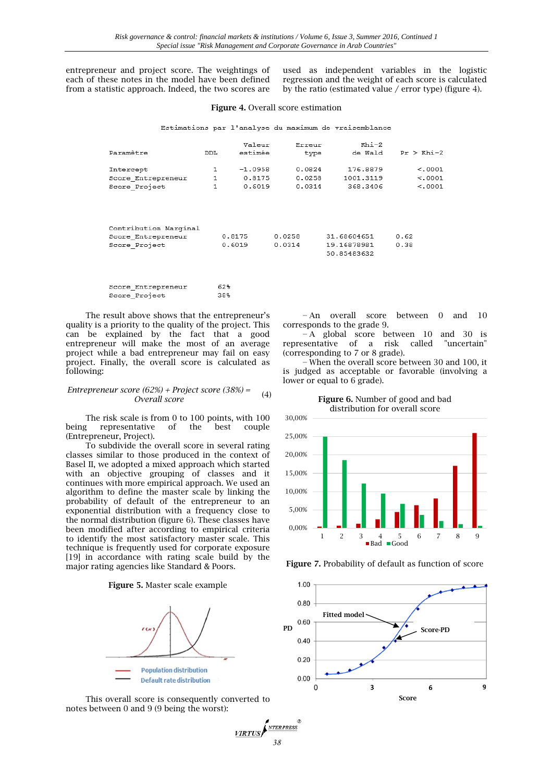entrepreneur and project score. The weightings of each of these notes in the model have been defined from a statistic approach. Indeed, the two scores are used as independent variables in the logistic regression and the weight of each score is calculated by the ratio (estimated value / error type) (figure 4).

#### **Figure 4.** Overall score estimation

Estimations par l'analyse du maximum de vraisemblance

| Paramètre             | DDL          | Valeur<br>estimée | Erreur<br>type | $Rhi-2$<br>de Wald | $Pr$ > $Rhi-2$ |
|-----------------------|--------------|-------------------|----------------|--------------------|----------------|
| Intercept             | 1            | $-1.0958$         | 0.0824         | 176.8879           | < .0001        |
| Score Entrepreneur    | $\mathbf{1}$ | 0.8175            | 0.0258         | 1001.3119          | < .0001        |
| Score Project         | 1            | 0.6019            | 0.0314         | 368,3406           | < .0001        |
| Contribution Marginal |              |                   |                |                    |                |
| Score Entrepreneur    |              | 0.8175            | 0.0258         | 31.68604651        | 0.62           |
| Score Project         |              | 0.6019            | 0.0314         | 19.16878981        | 0.38           |
|                       |              |                   |                | 50.85483632        |                |

*38*

 $VRTUS$ 

NTERPRESS

| Score Entrepreneur | 62% |
|--------------------|-----|
| Score Project      | 38% |

The result above shows that the entrepreneur's quality is a priority to the quality of the project. This can be explained by the fact that a good entrepreneur will make the most of an average project while a bad entrepreneur may fail on easy project. Finally, the overall score is calculated as following:

#### *Entrepreneur score (62%) + Project score (38%) = Collect score* (30%) – (4)<br>*Overall score*

The risk scale is from 0 to 100 points, with 100 being representative of the best couple (Entrepreneur, Project).

To subdivide the overall score in several rating classes similar to those produced in the context of Basel II, we adopted a mixed approach which started with an objective grouping of classes and it continues with more empirical approach. We used an algorithm to define the master scale by linking the probability of default of the entrepreneur to an exponential distribution with a frequency close to the normal distribution (figure 6). These classes have been modified after according to empirical criteria to identify the most satisfactory master scale. This technique is frequently used for corporate exposure [19] in accordance with rating scale build by the major rating agencies like Standard & Poors.

#### **Figure 5.** Master scale example



This overall score is consequently converted to notes between 0 and 9 (9 being the worst):

− An overall score between 0 and 10 corresponds to the grade 9.

− A global score between 10 and 30 is representative of a risk called "uncertain" (corresponding to 7 or 8 grade).

− When the overall score between 30 and 100, it is judged as acceptable or favorable (involving a lower or equal to 6 grade).





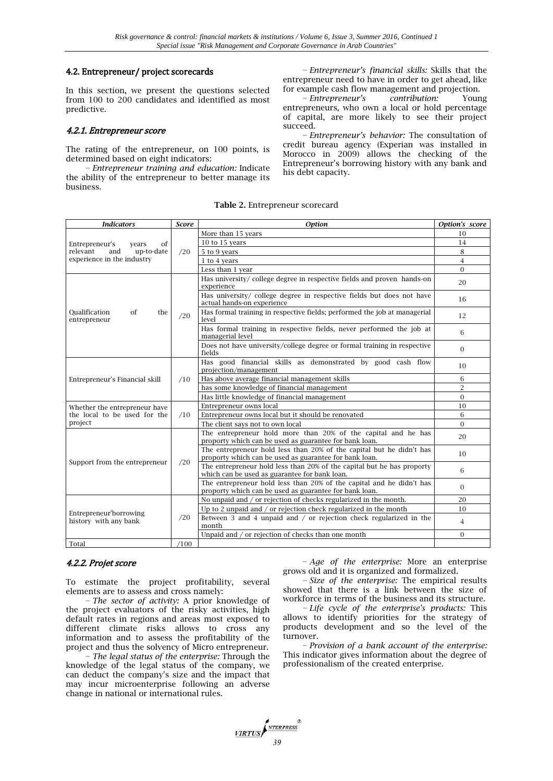#### 4.2. Entrepreneur/ project scorecards

In this section, we present the questions selected from 100 to 200 candidates and identified as most predictive.

#### 4.2.1. Entrepreneur score

The rating of the entrepreneur, on 100 points, is determined based on eight indicators:

− *Entrepreneur training and education:* Indicate the ability of the entrepreneur to better manage its business.

− *Entrepreneur's financial skills:* Skills that the entrepreneur need to have in order to get ahead, like for example cash flow management and projection.

− *Entrepreneur's contribution:* Young entrepreneurs, who own a local or hold percentage of capital, are more likely to see their project succeed.

− *Entrepreneur's behavior:* The consultation of credit bureau agency (Experian was installed in Morocco in 2009) allows the checking of the Entrepreneur's borrowing history with any bank and his debt capacity.

**Table 2.** Entrepreneur scorecard

| <b>Indicators</b>                                                                            | <b>Score</b> | <b>Option</b>                                                                                                                  | Option's score |
|----------------------------------------------------------------------------------------------|--------------|--------------------------------------------------------------------------------------------------------------------------------|----------------|
| Entrepreneur's<br>of<br>years<br>relevant<br>and<br>up-to-date<br>experience in the industry | /20          | More than 15 years                                                                                                             | 10             |
|                                                                                              |              | 10 to 15 years                                                                                                                 | 14             |
|                                                                                              |              | 5 to 9 years                                                                                                                   | 8              |
|                                                                                              |              | 1 to 4 years                                                                                                                   | $\overline{4}$ |
|                                                                                              |              | Less than 1 year                                                                                                               | $\Omega$       |
| Oualification<br>of<br>the<br>entrepreneur                                                   | /20          | Has university/college degree in respective fields and proven hands-on<br>experience                                           | 20             |
|                                                                                              |              | Has university/ college degree in respective fields but does not have<br>actual hands-on experience                            | 16             |
|                                                                                              |              | Has formal training in respective fields; performed the job at managerial<br>level                                             | 12             |
|                                                                                              |              | Has formal training in respective fields, never performed the job at<br>managerial level                                       | 6              |
|                                                                                              |              | Does not have university/college degree or formal training in respective<br>fields                                             | $\Omega$       |
|                                                                                              | /10          | Has good financial skills as demonstrated by good cash flow<br>projection/management                                           | 10             |
| Entrepreneur's Financial skill                                                               |              | Has above average financial management skills                                                                                  | 6              |
|                                                                                              |              | has some knowledge of financial management                                                                                     | $\overline{2}$ |
|                                                                                              |              | Has little knowledge of financial management                                                                                   | $\overline{0}$ |
| Whether the entrepreneur have                                                                | /10          | Entrepreneur owns local                                                                                                        | 10             |
| the local to be used for the                                                                 |              | Entrepreneur owns local but it should be renovated                                                                             | 6              |
| project                                                                                      |              | The client says not to own local                                                                                               | $\Omega$       |
|                                                                                              | /20          | The entrepreneur hold more than 20% of the capital and he has<br>proporty which can be used as guarantee for bank loan.        | 20             |
|                                                                                              |              | The entrepreneur hold less than 20% of the capital but he didn't has<br>proporty which can be used as guarantee for bank loan. | 10             |
| Support from the entrepreneur                                                                |              | The entrepreneur hold less than 20% of the capital but he has proporty<br>which can be used as guarantee for bank loan.        | 6              |
|                                                                                              |              | The entrepreneur hold less than 20% of the capital and he didn't has<br>proporty which can be used as guarantee for bank loan. | $\Omega$       |
|                                                                                              | /20          | No unpaid and / or rejection of checks regularized in the month.                                                               | 20             |
| Entrepreneur'borrowing<br>history with any bank                                              |              | Up to 2 unpaid and / or rejection check regularized in the month                                                               | 10             |
|                                                                                              |              | Between 3 and 4 unpaid and / or rejection check regularized in the<br>month                                                    | 4              |
|                                                                                              |              | Unpaid and / or rejection of checks than one month                                                                             | $\Omega$       |
| Total                                                                                        | /100         |                                                                                                                                |                |

## 4.2.2. Projet score

To estimate the project profitability, several elements are to assess and cross namely:

− *The sector of activity:* A prior knowledge of the project evaluators of the risky activities, high default rates in regions and areas most exposed to different climate risks allows to cross any information and to assess the profitability of the project and thus the solvency of Micro entrepreneur.

− *The legal status of the enterprise:* Through the knowledge of the legal status of the company, we can deduct the company's size and the impact that may incur microenterprise following an adverse change in national or international rules.

− *Age of the enterprise:* More an enterprise grows old and it is organized and formalized.

− *Size of the enterprise:* The empirical results showed that there is a link between the size of workforce in terms of the business and its structure.

− *Life cycle of the enterprise's products:* This allows to identify priorities for the strategy of products development and so the level of the turnover.

− *Provision of a bank account of the enterprise:* This indicator gives information about the degree of professionalism of the created enterprise.

*VIRTUS*